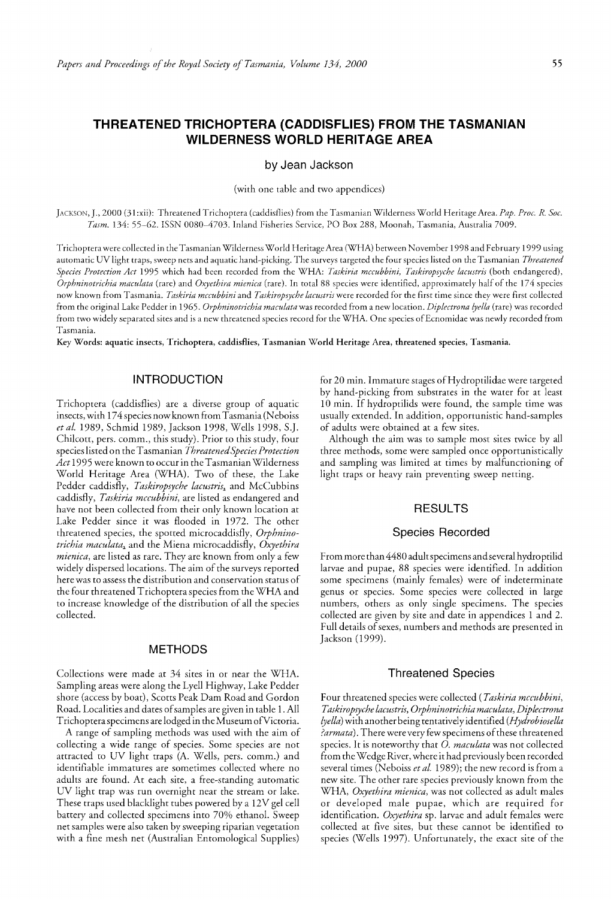# **THREATENED TRICHOPTERA (CADDISFlIES) FROM THE TASMANIAN WILDERNESS WORLD HERITAGE AREA**

by Jean Jackson

(with one table and two appendices)

JACKSON, J., 2000 (31 :xii); Threatened T richoptera (caddisflies) from the Tasmanian Wilderness World Heritage Area. *Pap. Proc. R Soc.*  Tasm. 134: 55-62. ISSN 0080-4703. Inland Fisheries Service, PO Box 288, Moonah, Tasmania, Australia 7009.

T richoptera were collected in the Tasmanian WildernessWorld Heritage Area (WHA) between November 1998 and February 1999 using automatic UV light traps, sweep nets and aquatic hand-picking. The surveys targeted the four species listed on the Tasmanian *Threatened Species Protection Act* 1995 which had been recorded from the WHA: *Taskiria mccubbini, Taskiropsyche lacustris* (both endangered), *Orphninotrichia maculata* (rare) and *Oxyethira mienica* (rare). In total 88 species were identified, approximately half of the 174 species now known from Tasmania. *Taskiria mccubbini* and *Taskiropsyche lacustris* were recorded for the first time since they were first collected from the original Lake Pedder in 1965. *Orphninotrichia maculatawas* recorded from a new location. *Diplectrona Iyella* (rare) was recorded from two widely separated sites and is a new threatened species record for the WHA. One species of Ecnomidae was newly recorded from Tasmania.

Key Words: aquatic insects, Trichoptera, caddisflies, Tasmanian World Heritage Area, threatened species, Tasmania.

## INTRODUCTION

Trichoptera (caddisflies) are a diverse group of aquatic insects, with 174 species now known from Tasmania (Neboiss *et at.* 1989, Schmid 1989, Jackson 1998, Wells 1998, S.J. Chilcott, pers. comm., this study). Prior to this study, four species listed on the Tasmanian *Threatened Species Protection Act* 1995 were known to occur in the Tasmanian Wilderness World Heritage Area (WHA). Two of these, the Lake Pedder caddis fly, *Taskiropsyche lacustris,* and McCubbins caddisfly, *Taskiria mccubbini,* are listed as endangered and have not been collected from their only known location at Lake Pedder since it was flooded in 1972. The other threatened species, the spotted microcaddisfly, *Orphninotrichia maculata*, and the Miena microcaddisfly, *Oxyethira mienica,* are listed as rare. They are known from only a few widely dispersed locations. The aim of the surveys reported here was to assess the distribution and conservation status of the four threatened Trichoptera species from the WHA and to increase knowledge of the distribution of all the species collected.

#### METHODS

Collections were made at 34 sites in or near the WHA. Sampling areas were along the Lyell Highway, Lake Pedder shore (access by boat), Scotts Peak Dam Road and Gordon Road. Localities and dates of samples are given in table 1. All T richoptera specimens are lodged in the Museum ofVictoria.

A range of sampling methods was used with the aim of collecting a wide range of species. Some species are not attracted to UV light traps (A. Wells, pers. comm.) and identifiable immatures are sometimes collected where no adults are found. At each site, a free-standing automatic UV light trap was run overnight near the stream or lake. These traps used blacklight tubes powered by a 12V gel cell battery and collected specimens into 70% ethanol. Sweep net samples were also taken by sweeping riparian vegetation with a fine mesh net (Australian Entomological Supplies)

for 20 min. Immature stages of Hydroptilidae were targeted by hand-picking from substrates in the water for at least 10 min. If hydroptilids were found, the sample time was usually extended. In addition, opportunistic hand-samples of adults were obtained at a few sites.

Although the aim was to sample most sites twice by all three methods, some were sampled once opportunistically and sampling was limited at times by malfunctioning of light traps or heavy rain preventing sweep netting.

#### RESULTS

#### Species Recorded

From more than 4480 adult specimens and several hydroptilid larvae and pupae, 88 species were identified. In addition some specimens (mainly females) were of indeterminate genus or species. Some species were collected in large numbers, others as only single specimens. The species collected are given by site and date in appendices 1 and 2. Full details of sexes, numbers and methods are presented in Jackson (1999).

#### Threatened Species

Four threatened species were collected *(Taskiria mccubbini, T askiropsyche lacustris, Orphninotrichia maculata, Diplectrona lyella)* with another being tentatively identified *(Hydrobiosella ?armata).* There were very few specimens of these threatened species. It is noteworthy that 0. *maculata* was not collected from the Wedge River, where it had previously been recorded several times (Neboiss *et at.* 1989); the new record is from a new site. The other rare species previously known from the WHA, *Oxyethira mienica,* was not collected as adult males or developed male pupae, which are required for identification. *Oxyethira* sp. larvae and adult females were collected at five sites, but these cannot be identified to species (Wells 1997). Unfortunately, the exact site of the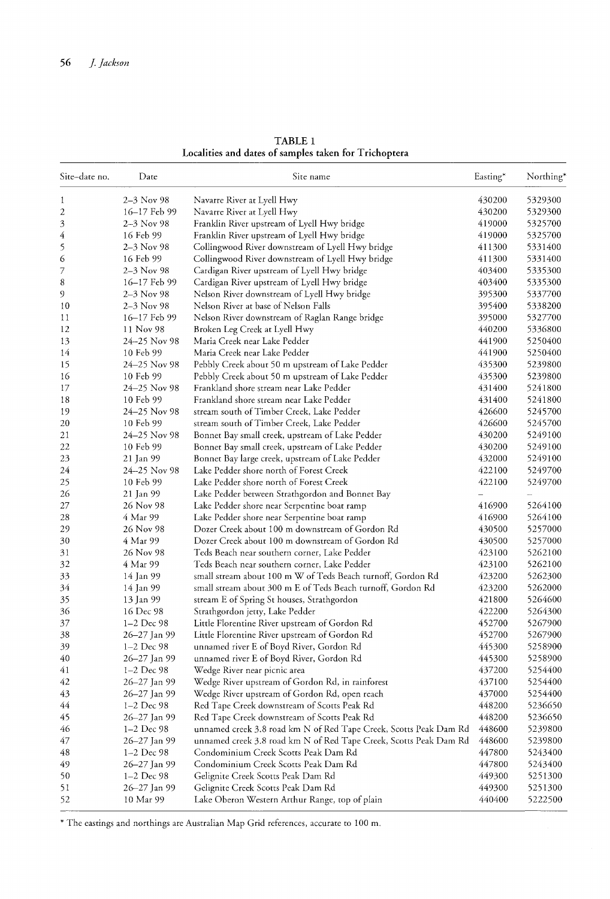| Site-date no. | Date                         | Site name                                                                                 | Easting* | Northing*          |
|---------------|------------------------------|-------------------------------------------------------------------------------------------|----------|--------------------|
| 1             | 2-3 Nov 98                   | Navarre River at Lyell Hwy                                                                | 430200   | 5329300            |
| 2             | 16-17 Feb 99                 | Navarre River at Lyell Hwy                                                                | 430200   | 5329300            |
| 3             | 2-3 Nov 98                   | Franklin River upstream of Lyell Hwy bridge                                               | 419000   | 5325700            |
| 4             | 16 Feb 99                    | Franklin River upstream of Lyell Hwy bridge                                               | 419000   | 5325700            |
| 5             | 2–3 Nov 98                   | Collingwood River downstream of Lyell Hwy bridge                                          | 411300   | 5331400            |
| 6             | 16 Feb 99                    | Collingwood River downstream of Lyell Hwy bridge                                          | 411300   | 5331400            |
| 7             | $2 - 3$ Nov 98               | Cardigan River upstream of Lyell Hwy bridge                                               | 403400   | 5335300            |
| 8             | 16-17 Feb 99                 | Cardigan River upstream of Lyell Hwy bridge                                               | 403400   | 5335300            |
| 9             | $2 - 3$ Nov 98               | Nelson River downstream of Lyell Hwy bridge                                               | 395300   | 5337700            |
| 10            | 2-3 Nov 98                   | Nelson River at base of Nelson Falls                                                      | 395400   | 5338200            |
| 11            | 16-17 Feb 99                 | Nelson River downstream of Raglan Range bridge                                            | 395000   | 5327700            |
| 12            | 11 Nov 98                    | Broken Leg Creek at Lyell Hwy                                                             | 440200   | 5336800            |
| 13            | 24-25 Nov 98                 | Maria Creek near Lake Pedder                                                              | 441900   | 5250400            |
| 14            | 10 Feb 99                    | Maria Creek near Lake Pedder                                                              | 441900   | 5250400            |
| 15            | 24-25 Nov 98                 | Pebbly Creek about 50 m upstream of Lake Pedder                                           | 435300   | 5239800            |
| 16            | 10 Feb 99                    | Pebbly Creek about 50 m upstream of Lake Pedder                                           | 435300   | 5239800            |
| 17            | 24-25 Nov 98                 | Frankland shore stream near Lake Pedder                                                   | 431400   | 5241800            |
| 18            | 10 Feb 99                    | Frankland shore stream near Lake Pedder                                                   | 431400   | 5241800            |
| 19            | 24-25 Nov 98                 | stream south of Timber Creek, Lake Pedder                                                 | 426600   | 5245700            |
| 20            | 10 Feb 99                    | stream south of Timber Creek, Lake Pedder                                                 | 426600   | 5245700            |
| 21            | 24-25 Nov 98                 | Bonnet Bay small creek, upstream of Lake Pedder                                           | 430200   | 5249100            |
| 22            | 10 Feb 99                    | Bonnet Bay small creek, upstream of Lake Pedder                                           | 430200   | 5249100            |
| 23            | 21 Jan 99                    | Bonnet Bay large creek, upstream of Lake Pedder                                           | 432000   | 5249100            |
| 24            | 24-25 Nov 98                 | Lake Pedder shore north of Forest Creek                                                   | 422100   | 5249700            |
| 25            | 10 Feb 99                    | Lake Pedder shore north of Forest Creek                                                   | 422100   | 5249700            |
| 26            | 21 Jan 99                    | Lake Pedder between Strathgordon and Bonnet Bay                                           |          |                    |
| 27            | 26 Nov 98                    | Lake Pedder shore near Serpentine boat ramp                                               | 416900   | 5264100            |
| 28            | 4 Mar 99                     | Lake Pedder shore near Serpentine boat ramp                                               | 416900   | 5264100            |
| 29            | 26 Nov 98                    | Dozer Creek about 100 m downstream of Gordon Rd                                           | 430500   | 5257000            |
| 30            | 4 Mar 99                     | Dozer Creek about 100 m downstream of Gordon Rd                                           | 430500   | 5257000            |
| 31            | 26 Nov 98                    | Teds Beach near southern corner, Lake Pedder                                              | 423100   | 5262100            |
| 32            | 4 Mar 99                     | Teds Beach near southern corner, Lake Pedder                                              | 423100   | 5262100            |
| 33            | 14 Jan 99                    | small stream about 100 m W of Teds Beach turnoff, Gordon Rd                               | 423200   | 5262300            |
| 34            |                              | small stream about 300 m E of Teds Beach turnoff, Gordon Rd                               | 423200   | 5262000            |
|               | 14 Jan 99                    |                                                                                           | 421800   | 5264600            |
| 35            | 13 Jan 99<br>16 Dec 98       | stream E of Spring St houses, Strathgordon                                                | 422200   | 5264300            |
| 36            | 1-2 Dec 98                   | Strathgordon jetty, Lake Pedder                                                           | 452700   |                    |
| 37            |                              | Little Florentine River upstream of Gordon Rd                                             |          | 5267900            |
| 38<br>39      | 26-27 Jan 99<br>$1-2$ Dec 98 | Little Florentine River upstream of Gordon Rd<br>unnamed river E of Bovd River, Gordon Rd | 452700   | 5267900<br>5258900 |
|               |                              |                                                                                           | 445300   |                    |
| 40            | 26–27 Jan 99                 | unnamed river E of Boyd River, Gordon Rd                                                  | 445300   | 5258900            |
| 41            | 1-2 Dec 98                   | Wedge River near picnic area                                                              | 437200   | 5254400            |
| 42            | 26-27 Jan 99                 | Wedge River upstream of Gordon Rd, in rainforest                                          | 437100   | 5254400            |
| 43            | 26–27 Jan 99                 | Wedge River upstream of Gordon Rd, open reach                                             | 437000   | 5254400            |
| 44            | 1-2 Dec 98                   | Red Tape Creek downstream of Scotts Peak Rd                                               | 448200   | 5236650            |
| 45            | 26-27 Jan 99                 | Red Tape Creek downstream of Scotts Peak Rd                                               | 448200   | 5236650            |
| 46            | 1-2 Dec 98                   | unnamed creek 3.8 road km N of Red Tape Creek, Scotts Peak Dam Rd                         | 448600   | 5239800            |
| 47            | 26-27 Jan 99                 | unnamed creek 3.8 road km N of Red Tape Creek, Scotts Peak Dam Rd                         | 448600   | 5239800            |
| 48            | $1 - 2$ Dec 98               | Condominium Creek Scotts Peak Dam Rd                                                      | 447800   | 5243400            |
| 49            | 26-27 Jan 99                 | Condominium Creek Scotts Peak Dam Rd                                                      | 447800   | 5243400            |
| 50            | $1-2$ Dec 98                 | Gelignite Creek Scotts Peak Dam Rd                                                        | 449300   | 5251300            |
| 51            | 26–27 Jan 99                 | Gelignite Creek Scotts Peak Dam Rd                                                        | 449300   | 5251300            |
| 52            | 10 Mar 99                    | Lake Oberon Western Arthur Range, top of plain                                            | 440400   | 5222500            |

TABLE 1 Localities and dates of samples taken for Trichoptera

\* The eastings and northings are Australian Map Grid references, accurate to 100 m.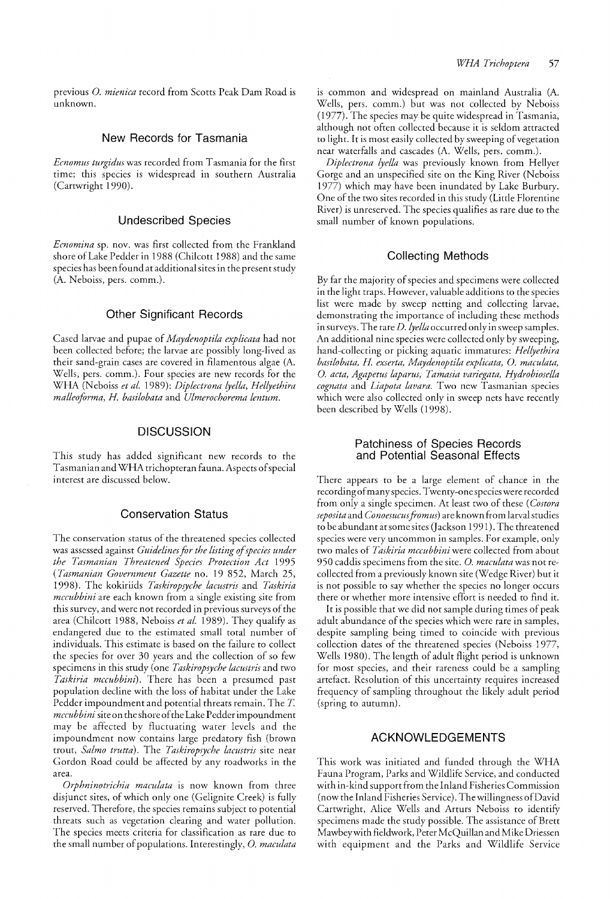previous 0. *mienica* record from Scotts Peak Dam Road is unknown.

#### New Records for Tasmania

*Ecnomus turgidus* was recorded from Tasmania for the first time; this species is widespread in southern Australia (Cartwright 1990).

#### Undescribed Species

*Ecnomina* sp. nov. was first collected from the Frankland shore of Lake Pedder in 1988 (Chilcott 1988) and the same species has been found at additional sites in the present study (A. Neboiss, pers. comm.).

## Other Significant Records

Cased larvae and pupae of *Maydenoptila explicata* had not been collected before; the larvae are possibly long-lived as their sand-grain cases are covered in filamentous algae (A. Wells, pers. comm.). Four species are new records for the WHA (Neboiss *et al.* 1989): *Diplectrona lyella, Hellyethira malleoforma, H. basilobata* and *Ulmerochorema lentum.* 

#### **DISCUSSION**

This study has added significant new records to the Tasmanian and WHA trichopteran fauna. Aspects of special interest are discussed below.

#### Conservation Status

The conservation status of the threatened species collected was assessed against *Guidelines for the listing of species under the Tasmanian Threatened Species Protection Act 1995 (Tasmanian Government Gazette* no. 19 852, March 25, 1998). The kokiriids *Taskiropsyche lacustris* and *Taskiria mccubbini* are each known from a single existing site from this survey, and were not recorded in previous surveys of the area (Chilcott 1988, Neboiss *et al.* 1989). They qualify as endangered due to the estimated small total number of individuals. This estimate is based on the failure to collect the species for over 30 years and the collection of so few specimens in this study (one *Taskiropsyche lacustris* and two *Taskiria mccubbini).* There has been a presumed past population decline with the loss of habitat under the Lake Pedder impoundment and potential threats remain. The *T mccubbini* site on the shore of the Lake Pedder impoundment may be affected by fluctuating water levels and the impoundment now contains large predatory fish (brown trout, *Salmo trutta).* The *Taskiropsyche lacustris* site near Gordon Road could be affected by any roadworks in the area.

*Orphninotrichia maculata* is now known from three disjunct sites, of which only one (Gelignite Creek) is fully reserved. Therefore, the species remains subject to potential threats such as vegetation clearing and water pollution. The species meets criteria for classification as rare due to the small number of populations. Interestingly, 0. *maculata* 

is common and widespread on mainland Australia (A. Wells, pers. comm.) but was not collected by Neboiss (1977). The species may be quite widespread in Tasmania, although not often collected because it is seldom attracted to light. It is most easily collected by sweeping of vegetation near waterfalls and cascades (A. Wells, pers. comm.).

*Diplectrona lyelfa* was previously known from Hellyer Gorge and an unspecified site on the King River (Neboiss 1977) which may have been inundated by Lake Burbury. One of the two sites recorded in this study (Little Florentine River) is unreserved. The species qualifies as rare due to the small number of known populations.

#### Collecting Methods

By far the majority of species and specimens were collected in the light traps. However, valuable additions to the species list were made by sweep netting and collecting larvae, demonstrating the importance of including these methods in surveys. The rare *D. lyella* occurred only in sweep samples. An additional nine species were collected only by sweeping, hand-collecting or picking aquatic immatures: *Hellyethira basilobata, H. exserta, Maydenoptila explicata,* O. *macufata,*  0. *acta, Agapetus laparus, Tamasia variegata, Hydrobiosella cognata* and *Liapota lavara.* Two new Tasmanian species which were also collected only in sweep nets have recently been described by Wells (1998).

#### Patchiness of Species Records and Potential Seasonal Effects

There appears to be a large element of chance in the recording of many species. Twenty-one species were recorded from only a single specimen. At least two of these *(Costora seposita* and *Conoesucus fromus)* are known from larval studies to be abundant at some sites (Jackson 1991). The threatened species were very uncommon in samples. For example, only two males of *Taskiria mccubbini* were collected from about 950 caddis specimens from the site. 0. *maculatawas* not recollected from a previously known site (Wedge River) but it is not possible to say whether the species no longer occurs there or whether more intensive effort is needed to find it.

It is possible that we did not sample during times of peak adult abundance of the species which were rare in samples, despite sampling being timed to coincide with previous collection dates of the threatened species (Neboiss 1977, Wells 1980). The length of adult flight period is unknown for most species, and their rareness could be a sampling artefact. Resolution of this uncertainty requires increased frequency of sampling throughout the likely adult period (spring to autumn).

#### ACKNOWLEDGEMENTS

This work was initiated and funded through the WHA Fauna Program, Parks and Wildlife Service, and conducted with in-kind support from the Inland Fisheries Commission (now the Inland Fisheries Service). The willingness of David Cartwright, Alice Wells and Arturs Neboiss to identify specimens made the study possible. The assistance of Brett Mawbeywith fieldwork, Peter McQuillan and Mike Driessen with equipment and the Parks and Wildlife Service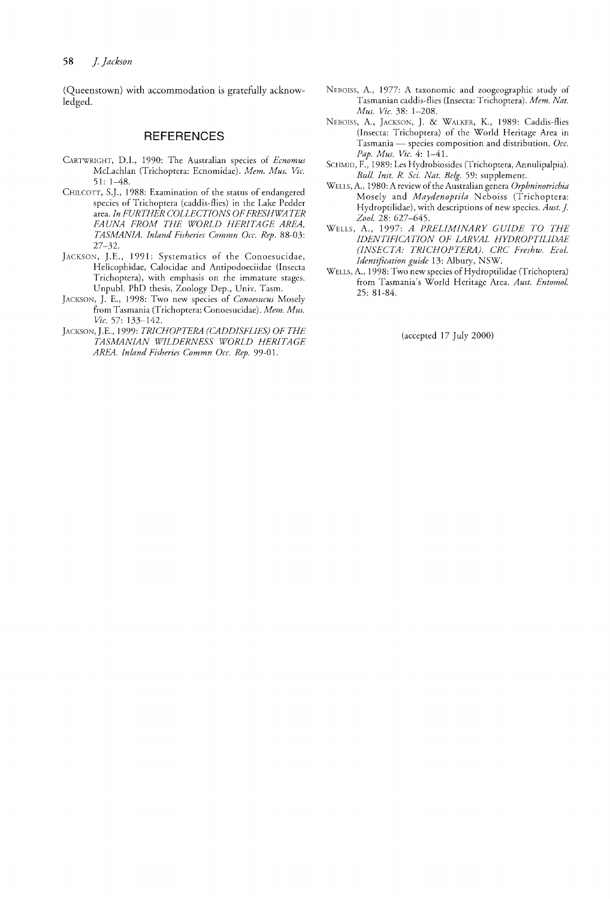(Queenstown) with accommodation is gratefully acknowledged.

## **REFERENCES**

- CARTWRIGHT, D.I., 1990: The Australian species of *Ecnomus* McLachlan (Trichoptera: Ecnomidae). *Mem. Mus. Vic.*  51: 1-48.
- CHILCOTT, S.]., 1988: Examination of the status of endangered species of Trichoptera (caddis-flies) in the Lake Pedder area. *In FURTHER COLLECTIONS OF FRESHWATER FAUNA FROM THE WORLD HERITAGE AREA, TASMANIA. Inland Fisheries Commn Occ. Rep. 88-03:*  27-32.
- JACKSON, J.E., 1991: Systematics of the Conoesucidae, Helicophidae, Calocidae and Antipodoeciidae (Insecta Trichoptera), with emphasis on the immature stages. Unpub/. PhD thesis, Zoology Dep., Univ. Tasm.
- JACKSON, ]. E., 1998: Two new species of *Conoesucus* Mosely from Tasmania (Trichoptera: Conoesucidae). *Mem. Mus. Vic.* 57: 133--142.
- JACKSON,].E., 1999: *TRICHOPTERA (CADDISHIES) OF THE TASMANIAN WILDERNESS WORLD HERITAGE AREA. Inland Fisheries Commn Occ. Rep. 99-01.*
- NEBOISS, A., 1977: A taxonomic and zoogeographic study of Tasmanian caddis-flies (Insecta: Trichoptera). *Mem. Nat. Mus, Vic.* 38: 1-208.
- NEBOISS, A., JACKSON, ], & WALKER, K., 1989: Caddis-flies (Insecta: Trichoptera) of the World Heritage Area in Tasmania - species composition and distribution. Occ. *Pap, Mus. Vic.* 4: 1-41.
- SCHMID, F., 1989: Les Hydrobiosides (Trichoptera, Annulipalpia), Bull. Inst. R. Sci. Nat. Belg. 59: supplement.
- WELLS, A., 1980: A review of the Australian genera *Orphninotrichia*  Mosely and *Maydenoptila* N eboiss (Trichoptera: Hydroptilidae), with descriptions of new species. Aust. J. *Zoo!.* 28: 627-645.
- WELLS, A., 1997: *A PRELIMINARY GUIDE TO THE IDENTJFICA770N OF LARVAL HYDROPTILIDAE (INSECTA: TRICHOPTERA). CRC Freshw, Ecol. Identification guide* 13: Albury, NSW.
- WELLS, A., 1998: Two new species of Hydroptilidae (Trichoptera) from Tasmania's World Heritage Area. *Aust. Entomot.*  25: 81-84.

(accepted 17 July 2000)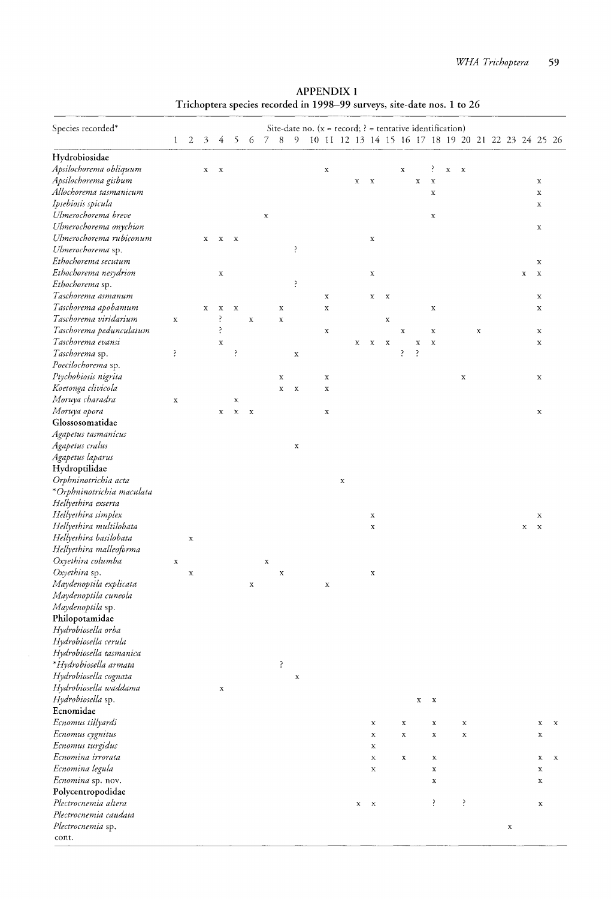| <b>APPENDIX 1</b>                                                       |  |
|-------------------------------------------------------------------------|--|
| Trichoptera species recorded in 1998-99 surveys, site-date nos. 1 to 26 |  |

| Species recorded*                       | $\mathbf{1}$ | $\sqrt{2}$  | 3 | 4           | 5            | 6           | 7           | 8           | 9           | Site-date no. ( $x = record$ ; ? = tentative identification)<br>10 11 12 13 14 15 16 17 18 19 20 21 22 23 24 25 26 |             |              |              |             |             |             |                            |             |             |             |             |             |                            |             |
|-----------------------------------------|--------------|-------------|---|-------------|--------------|-------------|-------------|-------------|-------------|--------------------------------------------------------------------------------------------------------------------|-------------|--------------|--------------|-------------|-------------|-------------|----------------------------|-------------|-------------|-------------|-------------|-------------|----------------------------|-------------|
|                                         |              |             |   |             |              |             |             |             |             |                                                                                                                    |             |              |              |             |             |             |                            |             |             |             |             |             |                            |             |
| Hydrobiosidae<br>Apsilochorema obliquum |              |             |   |             |              |             |             |             |             |                                                                                                                    |             |              |              |             |             |             | ?                          |             |             |             |             |             |                            |             |
| Apsilochorema gisbum                    |              |             | x | $\mathbf x$ |              |             |             |             |             | $\mathbf x$                                                                                                        |             |              | $\mathbf x$  |             | $\mathbf x$ |             |                            | $\mathbf x$ | $\mathbf x$ |             |             |             |                            |             |
| Allochorema tasmanicum                  |              |             |   |             |              |             |             |             |             |                                                                                                                    |             | x            |              |             |             | $\mathbf X$ | $\mathbf X$<br>$\mathbf x$ |             |             |             |             |             | $\mathbf x$<br>$\mathbf x$ |             |
| Ipsebiosis spicula                      |              |             |   |             |              |             |             |             |             |                                                                                                                    |             |              |              |             |             |             |                            |             |             |             |             |             | X                          |             |
| Ulmerochorema breve                     |              |             |   |             |              |             | $\mathbf x$ |             |             |                                                                                                                    |             |              |              |             |             |             | $\mathbf x$                |             |             |             |             |             |                            |             |
| Ulmerochorema onychion                  |              |             |   |             |              |             |             |             |             |                                                                                                                    |             |              |              |             |             |             |                            |             |             |             |             |             | $\mathbf x$                |             |
| Ulmerochorema rubiconum                 |              |             | х | х           | $\mathbf{x}$ |             |             |             |             |                                                                                                                    |             |              | x            |             |             |             |                            |             |             |             |             |             |                            |             |
| Ulmerochorema sp.                       |              |             |   |             |              |             |             |             | Ŗ           |                                                                                                                    |             |              |              |             |             |             |                            |             |             |             |             |             |                            |             |
| Ethochorema secutum                     |              |             |   |             |              |             |             |             |             |                                                                                                                    |             |              |              |             |             |             |                            |             |             |             |             |             | x                          |             |
| Ethochorema nesydrion                   |              |             |   | x           |              |             |             |             |             |                                                                                                                    |             |              | $\mathbf x$  |             |             |             |                            |             |             |             |             | $\mathbf X$ | $\mathbf x$                |             |
| Ethochorema sp.                         |              |             |   |             |              |             |             |             | ļ.          |                                                                                                                    |             |              |              |             |             |             |                            |             |             |             |             |             |                            |             |
| Taschorema asmanum                      |              |             |   |             |              |             |             |             |             | $\mathbf x$                                                                                                        |             |              | $\mathbf x$  | $\mathbf x$ |             |             |                            |             |             |             |             |             | $\mathbf x$                |             |
| Taschorema apobamum                     |              |             | x | $\mathbf x$ | $\mathbf x$  |             |             | $\mathbf x$ |             | $\mathbf x$                                                                                                        |             |              |              |             |             |             | $\mathbf x$                |             |             |             |             |             | x                          |             |
| Taschorema viridarium                   | $\mathbf x$  |             |   | ?           |              | $\mathbf x$ |             | $\mathbf x$ |             |                                                                                                                    |             |              |              | $\mathbf X$ |             |             |                            |             |             |             |             |             |                            |             |
| Taschorema pedunculatum                 |              |             |   | Š.          |              |             |             |             |             | $\mathbf x$                                                                                                        |             |              |              |             | $\mathbf x$ |             | $\mathbf x$                |             |             | $\mathbf x$ |             |             | x                          |             |
| Taschorema evansi                       |              |             |   | $\mathbf x$ |              |             |             |             |             |                                                                                                                    |             | $\mathbf x$  | $\mathbf x$  | $\mathbf x$ |             | X           | $\mathbf x$                |             |             |             |             |             | $\mathbf x$                |             |
| Taschorema sp.                          | ś.           |             |   |             | Ŗ            |             |             |             | $\mathbf x$ |                                                                                                                    |             |              |              |             | ś.          | ŗ           |                            |             |             |             |             |             |                            |             |
| Poecilochorema sp.                      |              |             |   |             |              |             |             |             |             |                                                                                                                    |             |              |              |             |             |             |                            |             |             |             |             |             |                            |             |
| Ptychobiosis nigrita                    |              |             |   |             |              |             |             | $\mathbf x$ |             | $\mathbf x$                                                                                                        |             |              |              |             |             |             |                            |             | $\mathbf x$ |             |             |             | $\mathbf x$                |             |
| Koetonga clivicola                      |              |             |   |             |              |             |             | $\mathbf x$ | $\mathbf x$ | $\mathbf x$                                                                                                        |             |              |              |             |             |             |                            |             |             |             |             |             |                            |             |
| Moruya charadra                         | $\mathbf x$  |             |   |             | $\mathbf x$  |             |             |             |             |                                                                                                                    |             |              |              |             |             |             |                            |             |             |             |             |             |                            |             |
| Moruya opora                            |              |             |   | x           | $\mathbf x$  | $\mathbf x$ |             |             |             | $\mathbf x$                                                                                                        |             |              |              |             |             |             |                            |             |             |             |             |             | $\mathbf x$                |             |
| Glossosomatidae                         |              |             |   |             |              |             |             |             |             |                                                                                                                    |             |              |              |             |             |             |                            |             |             |             |             |             |                            |             |
| Agapetus tasmanicus                     |              |             |   |             |              |             |             |             |             |                                                                                                                    |             |              |              |             |             |             |                            |             |             |             |             |             |                            |             |
| Agapetus cralus                         |              |             |   |             |              |             |             |             | $\mathbf x$ |                                                                                                                    |             |              |              |             |             |             |                            |             |             |             |             |             |                            |             |
| Agapetus laparus                        |              |             |   |             |              |             |             |             |             |                                                                                                                    |             |              |              |             |             |             |                            |             |             |             |             |             |                            |             |
| Hydroptilidae                           |              |             |   |             |              |             |             |             |             |                                                                                                                    |             |              |              |             |             |             |                            |             |             |             |             |             |                            |             |
| Orphninotrichia acta                    |              |             |   |             |              |             |             |             |             |                                                                                                                    | $\mathbf x$ |              |              |             |             |             |                            |             |             |             |             |             |                            |             |
| *Orphninotrichia maculata               |              |             |   |             |              |             |             |             |             |                                                                                                                    |             |              |              |             |             |             |                            |             |             |             |             |             |                            |             |
| Hellyethira exserta                     |              |             |   |             |              |             |             |             |             |                                                                                                                    |             |              |              |             |             |             |                            |             |             |             |             |             |                            |             |
| Hellyethira simplex                     |              |             |   |             |              |             |             |             |             |                                                                                                                    |             |              | $\mathbf X$  |             |             |             |                            |             |             |             |             |             | x                          |             |
| Hellyethira multilobata                 |              |             |   |             |              |             |             |             |             |                                                                                                                    |             |              | $\mathbf x$  |             |             |             |                            |             |             |             |             | х           | $\mathbf x$                |             |
| Hellyethira basilobata                  |              | $\mathbf x$ |   |             |              |             |             |             |             |                                                                                                                    |             |              |              |             |             |             |                            |             |             |             |             |             |                            |             |
| Hellyethira malleoforma                 |              |             |   |             |              |             |             |             |             |                                                                                                                    |             |              |              |             |             |             |                            |             |             |             |             |             |                            |             |
| Oxyethira columba                       | $\mathbf x$  |             |   |             |              |             | $\mathbf x$ |             |             |                                                                                                                    |             |              |              |             |             |             |                            |             |             |             |             |             |                            |             |
| Oxyethira sp.                           |              | $\mathbf x$ |   |             |              |             |             | $\mathbf x$ |             |                                                                                                                    |             |              | X            |             |             |             |                            |             |             |             |             |             |                            |             |
| Maydenoptila explicata                  |              |             |   |             |              | X           |             |             |             | $\mathbf x$                                                                                                        |             |              |              |             |             |             |                            |             |             |             |             |             |                            |             |
| Maydenoptila cuneola                    |              |             |   |             |              |             |             |             |             |                                                                                                                    |             |              |              |             |             |             |                            |             |             |             |             |             |                            |             |
| Maydenoptila sp.                        |              |             |   |             |              |             |             |             |             |                                                                                                                    |             |              |              |             |             |             |                            |             |             |             |             |             |                            |             |
| Philopotamidae                          |              |             |   |             |              |             |             |             |             |                                                                                                                    |             |              |              |             |             |             |                            |             |             |             |             |             |                            |             |
| Hydrobiosella orba                      |              |             |   |             |              |             |             |             |             |                                                                                                                    |             |              |              |             |             |             |                            |             |             |             |             |             |                            |             |
| Hydrobiosella cerula                    |              |             |   |             |              |             |             |             |             |                                                                                                                    |             |              |              |             |             |             |                            |             |             |             |             |             |                            |             |
| Hydrobiosella tasmanica                 |              |             |   |             |              |             |             |             |             |                                                                                                                    |             |              |              |             |             |             |                            |             |             |             |             |             |                            |             |
| *Hydrobiosella armata                   |              |             |   |             |              |             |             | ŗ           |             |                                                                                                                    |             |              |              |             |             |             |                            |             |             |             |             |             |                            |             |
| Hydrobiosella cognata                   |              |             |   |             |              |             |             |             | $\mathbf x$ |                                                                                                                    |             |              |              |             |             |             |                            |             |             |             |             |             |                            |             |
| Hydrobiosella waddama                   |              |             |   | X           |              |             |             |             |             |                                                                                                                    |             |              |              |             |             |             |                            |             |             |             |             |             |                            |             |
| Hydrobiosella sp.                       |              |             |   |             |              |             |             |             |             |                                                                                                                    |             |              |              |             |             | x           | $\mathbf x$                |             |             |             |             |             |                            |             |
| Ecnomidae                               |              |             |   |             |              |             |             |             |             |                                                                                                                    |             |              |              |             |             |             |                            |             |             |             |             |             |                            |             |
| Ecnomus tillyardi                       |              |             |   |             |              |             |             |             |             |                                                                                                                    |             |              | $\mathbf x$  |             | $\mathbf x$ |             | $\mathbf x$                |             | Х           |             |             |             | $\mathbf x$                | $\mathbf x$ |
| Ecnomus cygnitus                        |              |             |   |             |              |             |             |             |             |                                                                                                                    |             |              | х            |             | $\mathbf x$ |             | $\mathbf x$                |             | $\mathbf x$ |             |             |             | х                          |             |
| Ecnomus turgidus                        |              |             |   |             |              |             |             |             |             |                                                                                                                    |             |              | Х            |             |             |             |                            |             |             |             |             |             |                            |             |
| Ecnomina irrorata                       |              |             |   |             |              |             |             |             |             |                                                                                                                    |             |              | $\mathbf x$  |             | x           |             | $\mathbf x$                |             |             |             |             |             | х                          | х           |
| Ecnomina legula                         |              |             |   |             |              |             |             |             |             |                                                                                                                    |             |              | $\mathbf x$  |             |             |             | $\mathbf x$                |             |             |             |             |             | $\mathbf x$                |             |
| Ecnomina sp. nov.                       |              |             |   |             |              |             |             |             |             |                                                                                                                    |             |              |              |             |             |             | $\mathbf x$                |             |             |             |             |             | х                          |             |
| Polycentropodidae                       |              |             |   |             |              |             |             |             |             |                                                                                                                    |             |              |              |             |             |             |                            |             |             |             |             |             |                            |             |
| Plectrocnemia altera                    |              |             |   |             |              |             |             |             |             |                                                                                                                    |             | $\mathbf{X}$ | $\mathbf{x}$ |             |             |             | Ş.                         |             | ?           |             |             |             | х                          |             |
| Plectrocnemia caudata                   |              |             |   |             |              |             |             |             |             |                                                                                                                    |             |              |              |             |             |             |                            |             |             |             |             |             |                            |             |
| Plectrocnemia sp.                       |              |             |   |             |              |             |             |             |             |                                                                                                                    |             |              |              |             |             |             |                            |             |             |             | $\mathbf x$ |             |                            |             |
| cont.                                   |              |             |   |             |              |             |             |             |             |                                                                                                                    |             |              |              |             |             |             |                            |             |             |             |             |             |                            |             |
|                                         |              |             |   |             |              |             |             |             |             |                                                                                                                    |             |              |              |             |             |             |                            |             |             |             |             |             |                            |             |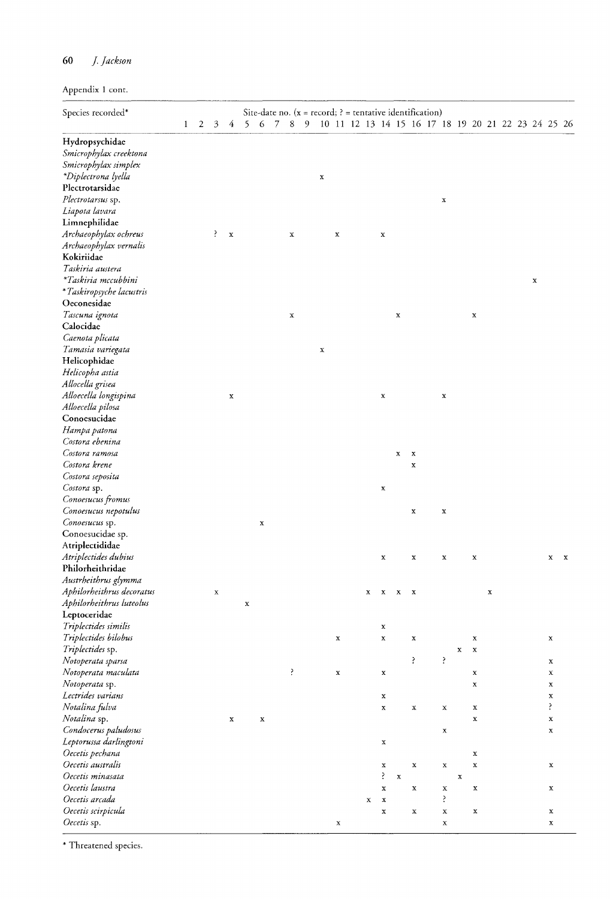# **60** ]. *Jackson*

Appendix 1 cont.

| Species recorded*         |              |   |             |             |   |             |             |   |             |             |             |             |             |             | Site-date no. $(x = record; ? = tentative identification)$ |                            |   |  |             |             |              |
|---------------------------|--------------|---|-------------|-------------|---|-------------|-------------|---|-------------|-------------|-------------|-------------|-------------|-------------|------------------------------------------------------------|----------------------------|---|--|-------------|-------------|--------------|
|                           | $\mathbf{1}$ | 2 | 3           | 4           | 5 | -6          | 7 8         | 9 |             |             |             |             |             |             | 10 11 12 13 14 15 16 17 18 19 20 21 22 23 24 25 26         |                            |   |  |             |             |              |
| Hydropsychidae            |              |   |             |             |   |             |             |   |             |             |             |             |             |             |                                                            |                            |   |  |             |             |              |
| Smicrophylax creektona    |              |   |             |             |   |             |             |   |             |             |             |             |             |             |                                                            |                            |   |  |             |             |              |
| Smicrophylax simplex      |              |   |             |             |   |             |             |   |             |             |             |             |             |             |                                                            |                            |   |  |             |             |              |
| *Diplectrona lyella       |              |   |             |             |   |             |             |   | $\mathbf x$ |             |             |             |             |             |                                                            |                            |   |  |             |             |              |
| Plectrotarsidae           |              |   |             |             |   |             |             |   |             |             |             |             |             |             |                                                            |                            |   |  |             |             |              |
| Plectrotarsus sp.         |              |   |             |             |   |             |             |   |             |             |             |             |             |             | $\mathbf x$                                                |                            |   |  |             |             |              |
| Liapota lavara            |              |   |             |             |   |             |             |   |             |             |             |             |             |             |                                                            |                            |   |  |             |             |              |
| Limnephilidae             |              |   |             |             |   |             |             |   |             |             |             |             |             |             |                                                            |                            |   |  |             |             |              |
| Archaeophylax ochreus     |              |   | P.          | $\mathbf x$ |   |             | $\mathbf x$ |   |             | $\mathbf x$ |             | $\mathbf x$ |             |             |                                                            |                            |   |  |             |             |              |
| Archaeophylax vernalis    |              |   |             |             |   |             |             |   |             |             |             |             |             |             |                                                            |                            |   |  |             |             |              |
| Kokiriidae                |              |   |             |             |   |             |             |   |             |             |             |             |             |             |                                                            |                            |   |  |             |             |              |
| Taskiria austera          |              |   |             |             |   |             |             |   |             |             |             |             |             |             |                                                            |                            |   |  |             |             |              |
| *Taskiria mccubbini       |              |   |             |             |   |             |             |   |             |             |             |             |             |             |                                                            |                            |   |  |             |             |              |
| *Taskiropsyche lacustris  |              |   |             |             |   |             |             |   |             |             |             |             |             |             |                                                            |                            |   |  | $\mathbf x$ |             |              |
| Oeconesidae               |              |   |             |             |   |             |             |   |             |             |             |             |             |             |                                                            |                            |   |  |             |             |              |
|                           |              |   |             |             |   |             |             |   |             |             |             |             |             |             |                                                            |                            |   |  |             |             |              |
| Tascuna ignota            |              |   |             |             |   |             | $\mathbf x$ |   |             |             |             |             | $\mathbf x$ |             |                                                            | $\mathbf x$                |   |  |             |             |              |
| Calocidae                 |              |   |             |             |   |             |             |   |             |             |             |             |             |             |                                                            |                            |   |  |             |             |              |
| Caenota plicata           |              |   |             |             |   |             |             |   |             |             |             |             |             |             |                                                            |                            |   |  |             |             |              |
| Tamasia variegata         |              |   |             |             |   |             |             |   | $\mathbf x$ |             |             |             |             |             |                                                            |                            |   |  |             |             |              |
| Helicophidae              |              |   |             |             |   |             |             |   |             |             |             |             |             |             |                                                            |                            |   |  |             |             |              |
| Helicopha astia           |              |   |             |             |   |             |             |   |             |             |             |             |             |             |                                                            |                            |   |  |             |             |              |
| Allocella grisea          |              |   |             |             |   |             |             |   |             |             |             |             |             |             |                                                            |                            |   |  |             |             |              |
| Alloecella longispina     |              |   |             | $\mathbf x$ |   |             |             |   |             |             |             | $\mathbf x$ |             |             | $\mathbf x$                                                |                            |   |  |             |             |              |
| Alloecella pilosa         |              |   |             |             |   |             |             |   |             |             |             |             |             |             |                                                            |                            |   |  |             |             |              |
| Conoesucidae              |              |   |             |             |   |             |             |   |             |             |             |             |             |             |                                                            |                            |   |  |             |             |              |
| Hampa patona              |              |   |             |             |   |             |             |   |             |             |             |             |             |             |                                                            |                            |   |  |             |             |              |
| Costora ebenina           |              |   |             |             |   |             |             |   |             |             |             |             |             |             |                                                            |                            |   |  |             |             |              |
| Costora ramosa            |              |   |             |             |   |             |             |   |             |             |             |             | $\mathbf x$ | $\mathbf x$ |                                                            |                            |   |  |             |             |              |
| Costora krene             |              |   |             |             |   |             |             |   |             |             |             |             |             | $\mathbf x$ |                                                            |                            |   |  |             |             |              |
| Costora seposita          |              |   |             |             |   |             |             |   |             |             |             |             |             |             |                                                            |                            |   |  |             |             |              |
| Costora sp.               |              |   |             |             |   |             |             |   |             |             |             | $\mathbf x$ |             |             |                                                            |                            |   |  |             |             |              |
| Conoesucus fromus         |              |   |             |             |   |             |             |   |             |             |             |             |             |             |                                                            |                            |   |  |             |             |              |
| Conoesucus nepotulus      |              |   |             |             |   |             |             |   |             |             |             |             |             | x           | $\mathbf x$                                                |                            |   |  |             |             |              |
| Conoesucus sp.            |              |   |             |             |   | x           |             |   |             |             |             |             |             |             |                                                            |                            |   |  |             |             |              |
| Conoesucidae sp.          |              |   |             |             |   |             |             |   |             |             |             |             |             |             |                                                            |                            |   |  |             |             |              |
| Atriplectididae           |              |   |             |             |   |             |             |   |             |             |             |             |             |             |                                                            |                            |   |  |             |             |              |
| Atriplectides dubius      |              |   |             |             |   |             |             |   |             |             |             | $\mathbf x$ |             | x           | x                                                          | $\mathbf x$                |   |  |             | x           | $\mathbf{x}$ |
| Philorheithridae          |              |   |             |             |   |             |             |   |             |             |             |             |             |             |                                                            |                            |   |  |             |             |              |
| Austrheithrus glymma      |              |   |             |             |   |             |             |   |             |             |             |             |             |             |                                                            |                            |   |  |             |             |              |
| Aphilorheithrus decoratus |              |   | $\mathbf x$ |             |   |             |             |   |             |             | x           | x           | x           | x           |                                                            |                            | x |  |             |             |              |
| Aphilorheithrus luteolus  |              |   |             |             | x |             |             |   |             |             |             |             |             |             |                                                            |                            |   |  |             |             |              |
| Leptoceridae              |              |   |             |             |   |             |             |   |             |             |             |             |             |             |                                                            |                            |   |  |             |             |              |
| Triplectides similis      |              |   |             |             |   |             |             |   |             |             |             | x           |             |             |                                                            |                            |   |  |             |             |              |
| Triplectides bilobus      |              |   |             |             |   |             |             |   |             | $\mathbf x$ |             | $\mathbf x$ |             | $\mathbf x$ |                                                            | x                          |   |  |             | x           |              |
| Triplectides sp.          |              |   |             |             |   |             |             |   |             |             |             |             |             |             |                                                            | $\mathbf x$<br>$\mathbf x$ |   |  |             |             |              |
| Notoperata sparsa         |              |   |             |             |   |             |             |   |             |             |             |             |             | ş.          | ì                                                          |                            |   |  |             | x           |              |
| Notoperata maculata       |              |   |             |             |   |             | ₹           |   |             | x           |             | x           |             |             |                                                            | x                          |   |  |             | x           |              |
| Notoperata sp.            |              |   |             |             |   |             |             |   |             |             |             |             |             |             |                                                            | x                          |   |  |             | x           |              |
| Lectrides varians         |              |   |             |             |   |             |             |   |             |             |             | $\mathbf x$ |             |             |                                                            |                            |   |  |             | x           |              |
| Notalina fulva            |              |   |             |             |   |             |             |   |             |             |             | x           |             | $\mathbf x$ | $\mathbf x$                                                | $\mathbf x$                |   |  |             | š.          |              |
| Notalina sp.              |              |   |             | x           |   | $\mathbf x$ |             |   |             |             |             |             |             |             |                                                            | x                          |   |  |             | $\mathbf x$ |              |
| Condocerus paludosus      |              |   |             |             |   |             |             |   |             |             |             |             |             |             | $\mathbf x$                                                |                            |   |  |             | x           |              |
| Leptorussa darlingtoni    |              |   |             |             |   |             |             |   |             |             |             | $\mathbf x$ |             |             |                                                            |                            |   |  |             |             |              |
| Oecetis pechana           |              |   |             |             |   |             |             |   |             |             |             |             |             |             |                                                            | x                          |   |  |             |             |              |
| Oecetis australis         |              |   |             |             |   |             |             |   |             |             |             | х           |             | $\mathbf x$ | $\mathbf x$                                                | $\mathbf x$                |   |  |             | x           |              |
| Oecetis minasata          |              |   |             |             |   |             |             |   |             |             |             | ś           | $\mathbf x$ |             |                                                            | $\mathbf x$                |   |  |             |             |              |
| Oecetis laustra           |              |   |             |             |   |             |             |   |             |             |             | $\mathbf x$ |             | x           | $\mathbf x$                                                | x                          |   |  |             | x           |              |
| Oecetis arcada            |              |   |             |             |   |             |             |   |             |             | $\mathbf x$ | $\mathbf x$ |             |             | ś.                                                         |                            |   |  |             |             |              |
| Oecetis scirpicula        |              |   |             |             |   |             |             |   |             |             |             | x           |             | x           | $\mathbf x$                                                | $\mathbf x$                |   |  |             | x           |              |
| Oecetis sp.               |              |   |             |             |   |             |             |   |             | х           |             |             |             |             | $\mathbf x$                                                |                            |   |  |             | x           |              |

 $^\ast$  Threatened species.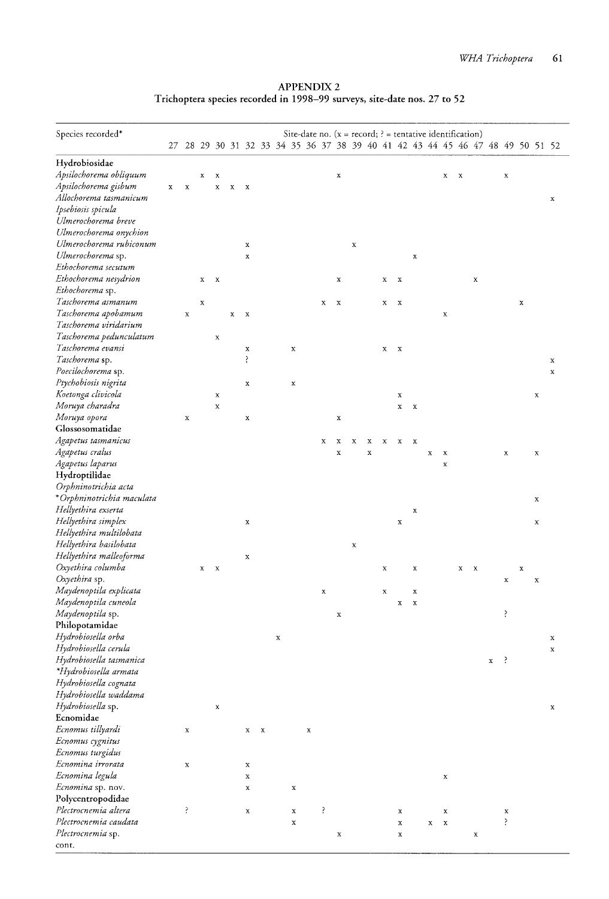APPENDIX 2 Trichoptera species recorded in 1998-99 surveys, site-date nos. 27 to 52

| Species recorded*                       |             |             |             |                  |   |                         |             |             |   |   | Site-date no. $(x = record; )$ = tentative identification)                    |             |             |             |              |             |             |             |             |              |             |                |   |             |             |
|-----------------------------------------|-------------|-------------|-------------|------------------|---|-------------------------|-------------|-------------|---|---|-------------------------------------------------------------------------------|-------------|-------------|-------------|--------------|-------------|-------------|-------------|-------------|--------------|-------------|----------------|---|-------------|-------------|
|                                         |             |             |             |                  |   |                         |             |             |   |   | 27 28 29 30 31 32 33 34 35 36 37 38 39 40 41 42 43 44 45 46 47 48 49 50 51 52 |             |             |             |              |             |             |             |             |              |             |                |   |             |             |
|                                         |             |             |             |                  |   |                         |             |             |   |   |                                                                               |             |             |             |              |             |             |             |             |              |             |                |   |             |             |
| Hydrobiosidae<br>Apsilochorema obliquum |             |             |             |                  |   |                         |             |             |   |   |                                                                               |             |             |             |              |             |             |             |             |              |             |                |   |             |             |
| Apsilochorema gisbum                    | $\mathbf x$ | $\mathbf x$ | x           | x<br>$\mathbf x$ | x | X                       |             |             |   |   | $\mathbf x$                                                                   |             |             |             |              |             |             | х           | $\mathbf x$ |              |             | $\mathbf x$    |   |             |             |
| Allochorema tasmanicum                  |             |             |             |                  |   |                         |             |             |   |   |                                                                               |             |             |             |              |             |             |             |             |              |             |                |   |             | x           |
| Ipsebiosis spicula                      |             |             |             |                  |   |                         |             |             |   |   |                                                                               |             |             |             |              |             |             |             |             |              |             |                |   |             |             |
| Ulmerochorema breve                     |             |             |             |                  |   |                         |             |             |   |   |                                                                               |             |             |             |              |             |             |             |             |              |             |                |   |             |             |
| Ulmerochorema onychion                  |             |             |             |                  |   |                         |             |             |   |   |                                                                               |             |             |             |              |             |             |             |             |              |             |                |   |             |             |
| Ulmerochorema rubiconum                 |             |             |             |                  |   | x                       |             |             |   |   |                                                                               | $\mathbf x$ |             |             |              |             |             |             |             |              |             |                |   |             |             |
| Ulmerochorema sp.                       |             |             |             |                  |   | $\mathbf x$             |             |             |   |   |                                                                               |             |             |             |              | x           |             |             |             |              |             |                |   |             |             |
| Ethochorema secutum                     |             |             |             |                  |   |                         |             |             |   |   |                                                                               |             |             |             |              |             |             |             |             |              |             |                |   |             |             |
| Ethochorema nesydrion                   |             |             | x           | $\mathbf{x}$     |   |                         |             |             |   |   | $\mathbf x$                                                                   |             |             | x           | $\mathbf{x}$ |             |             |             |             | $\mathbf x$  |             |                |   |             |             |
| Ethochorema sp.                         |             |             |             |                  |   |                         |             |             |   |   |                                                                               |             |             |             |              |             |             |             |             |              |             |                |   |             |             |
| Taschorema asmanum                      |             |             | $\mathbf x$ |                  |   |                         |             |             |   | X | X                                                                             |             |             | $\mathbf x$ | $\mathbf x$  |             |             |             |             |              |             |                | x |             |             |
| Taschorema apobamum                     |             | $\mathbf x$ |             |                  | x | $\mathbf x$             |             |             |   |   |                                                                               |             |             |             |              |             |             | $\mathbf x$ |             |              |             |                |   |             |             |
| Taschorema viridarium                   |             |             |             |                  |   |                         |             |             |   |   |                                                                               |             |             |             |              |             |             |             |             |              |             |                |   |             |             |
| Taschorema pedunculatum                 |             |             |             | $\mathbf x$      |   |                         |             |             |   |   |                                                                               |             |             |             |              |             |             |             |             |              |             |                |   |             |             |
| Taschorema evansi                       |             |             |             |                  |   | х                       |             | x           |   |   |                                                                               |             |             | x           | $\mathbf{x}$ |             |             |             |             |              |             |                |   |             |             |
| Taschorema sp.                          |             |             |             |                  |   | Ş.                      |             |             |   |   |                                                                               |             |             |             |              |             |             |             |             |              |             |                |   |             | x           |
| Poecilochorema sp.                      |             |             |             |                  |   |                         |             |             |   |   |                                                                               |             |             |             |              |             |             |             |             |              |             |                |   |             | x           |
| Ptychobiosis nigrita                    |             |             |             |                  |   | $\mathbf x$             |             | $\mathbf x$ |   |   |                                                                               |             |             |             |              |             |             |             |             |              |             |                |   |             |             |
| Koetonga clivicola                      |             |             |             | $\mathbf x$      |   |                         |             |             |   |   |                                                                               |             |             |             | x            |             |             |             |             |              |             |                |   | $\mathbf x$ |             |
| Moruya charadra                         |             |             |             | $\mathbf x$      |   |                         |             |             |   |   |                                                                               |             |             |             | $\mathbf x$  | $\mathbf x$ |             |             |             |              |             |                |   |             |             |
| Moruya opora                            |             | $\mathbf x$ |             |                  |   | $\mathbf x$             |             |             |   |   | x                                                                             |             |             |             |              |             |             |             |             |              |             |                |   |             |             |
| Glossosomatidae                         |             |             |             |                  |   |                         |             |             |   |   |                                                                               |             |             |             |              |             |             |             |             |              |             |                |   |             |             |
| Agapetus tasmanicus                     |             |             |             |                  |   |                         |             |             |   | X | х                                                                             | х           | х           | х           | $\mathbf x$  | X           |             |             |             |              |             |                |   |             |             |
| Agapetus cralus                         |             |             |             |                  |   |                         |             |             |   |   | x                                                                             |             | $\mathbf x$ |             |              |             | x           | $\mathbf x$ |             |              |             | x              |   | $\mathbf x$ |             |
| Agapetus laparus                        |             |             |             |                  |   |                         |             |             |   |   |                                                                               |             |             |             |              |             |             | $\mathbf x$ |             |              |             |                |   |             |             |
| Hydroptilidae                           |             |             |             |                  |   |                         |             |             |   |   |                                                                               |             |             |             |              |             |             |             |             |              |             |                |   |             |             |
| Orphninotrichia acta                    |             |             |             |                  |   |                         |             |             |   |   |                                                                               |             |             |             |              |             |             |             |             |              |             |                |   |             |             |
| *Orphninotrichia maculata               |             |             |             |                  |   |                         |             |             |   |   |                                                                               |             |             |             |              |             |             |             |             |              |             |                |   | $\mathbf x$ |             |
| Hellyethira exserta                     |             |             |             |                  |   |                         |             |             |   |   |                                                                               |             |             |             |              | $\mathbf x$ |             |             |             |              |             |                |   |             |             |
| Hellyethira simplex                     |             |             |             |                  |   | x                       |             |             |   |   |                                                                               |             |             |             | $\mathbf x$  |             |             |             |             |              |             |                |   | $\mathbf x$ |             |
| Hellyethira multilobata                 |             |             |             |                  |   |                         |             |             |   |   |                                                                               |             |             |             |              |             |             |             |             |              |             |                |   |             |             |
| Hellyethira basilobata                  |             |             |             |                  |   |                         |             |             |   |   |                                                                               | X           |             |             |              |             |             |             |             |              |             |                |   |             |             |
| Hellyethira malleoforma                 |             |             |             |                  |   | X                       |             |             |   |   |                                                                               |             |             |             |              |             |             |             |             |              |             |                |   |             |             |
| Oxyethira columba<br>Oxyethira sp.      |             |             | x           | $\mathbf{x}$     |   |                         |             |             |   |   |                                                                               |             |             | $\mathbf x$ |              | x           |             |             | $\mathbf x$ | $\mathbf{x}$ |             |                | x |             |             |
| Maydenoptila explicata                  |             |             |             |                  |   |                         |             |             |   |   |                                                                               |             |             |             |              |             |             |             |             |              |             | x              |   | $\mathbf x$ |             |
| Maydenoptila cuneola                    |             |             |             |                  |   |                         |             |             |   | x |                                                                               |             |             | $\mathbf x$ |              | X           |             |             |             |              |             |                |   |             |             |
| Maydenoptila sp.                        |             |             |             |                  |   |                         |             |             |   |   | $\mathbf x$                                                                   |             |             |             | x            | X           |             |             |             |              |             | ŗ              |   |             |             |
| Philopotamidae                          |             |             |             |                  |   |                         |             |             |   |   |                                                                               |             |             |             |              |             |             |             |             |              |             |                |   |             |             |
| Hydrobiosella orba                      |             |             |             |                  |   |                         | $\mathbf x$ |             |   |   |                                                                               |             |             |             |              |             |             |             |             |              |             |                |   |             | x           |
| Hydrobiosella cerula                    |             |             |             |                  |   |                         |             |             |   |   |                                                                               |             |             |             |              |             |             |             |             |              |             |                |   |             | $\mathbf x$ |
| Hydrobiosella tasmanica                 |             |             |             |                  |   |                         |             |             |   |   |                                                                               |             |             |             |              |             |             |             |             |              | $\mathbf x$ | $\ddot{\cdot}$ |   |             |             |
| *Hydrobiosella armata                   |             |             |             |                  |   |                         |             |             |   |   |                                                                               |             |             |             |              |             |             |             |             |              |             |                |   |             |             |
| Hydrobiosella cognata                   |             |             |             |                  |   |                         |             |             |   |   |                                                                               |             |             |             |              |             |             |             |             |              |             |                |   |             |             |
| Hydrobiosella waddama                   |             |             |             |                  |   |                         |             |             |   |   |                                                                               |             |             |             |              |             |             |             |             |              |             |                |   |             |             |
| Hydrobiosella sp.                       |             |             |             | x                |   |                         |             |             |   |   |                                                                               |             |             |             |              |             |             |             |             |              |             |                |   |             | x           |
| Ecnomidae                               |             |             |             |                  |   |                         |             |             |   |   |                                                                               |             |             |             |              |             |             |             |             |              |             |                |   |             |             |
| Ecnomus tillyardi                       |             | x           |             |                  |   | $\mathbf{x}-\mathbf{x}$ |             |             | X |   |                                                                               |             |             |             |              |             |             |             |             |              |             |                |   |             |             |
| Ecnomus cygnitus                        |             |             |             |                  |   |                         |             |             |   |   |                                                                               |             |             |             |              |             |             |             |             |              |             |                |   |             |             |
| Ecnomus turgidus                        |             |             |             |                  |   |                         |             |             |   |   |                                                                               |             |             |             |              |             |             |             |             |              |             |                |   |             |             |
| Ecnomina irrorata                       |             | x           |             |                  |   | $\mathbf x$             |             |             |   |   |                                                                               |             |             |             |              |             |             |             |             |              |             |                |   |             |             |
| Ecnomina legula                         |             |             |             |                  |   | $\mathbf x$             |             |             |   |   |                                                                               |             |             |             |              |             |             | x           |             |              |             |                |   |             |             |
| Ecnomina sp. nov.                       |             |             |             |                  |   | $\mathbf x$             |             | x           |   |   |                                                                               |             |             |             |              |             |             |             |             |              |             |                |   |             |             |
| Polycentropodidae                       |             |             |             |                  |   |                         |             |             |   |   |                                                                               |             |             |             |              |             |             |             |             |              |             |                |   |             |             |
| Plectrocnemia altera                    |             | ś,          |             |                  |   | $\mathbf x$             |             | $\mathbf x$ |   | ŗ |                                                                               |             |             |             | $\mathbf x$  |             |             | x           |             |              |             | x              |   |             |             |
| Plectrocnemia caudata                   |             |             |             |                  |   |                         |             | $\mathbf x$ |   |   |                                                                               |             |             |             | $\mathbf x$  |             | $\mathbf x$ | $\mathbf x$ |             |              |             | ś.             |   |             |             |
| Plectrocnemia sp.                       |             |             |             |                  |   |                         |             |             |   |   | $\mathbf x$                                                                   |             |             |             | x            |             |             |             |             | x            |             |                |   |             |             |
| cont.                                   |             |             |             |                  |   |                         |             |             |   |   |                                                                               |             |             |             |              |             |             |             |             |              |             |                |   |             |             |